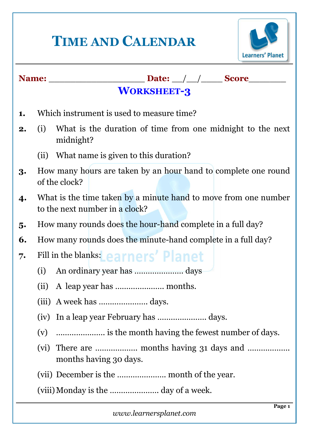# **TIME AND CALENDAR**



### **Name:** \_\_\_\_\_\_\_\_\_\_\_\_\_\_\_\_\_\_ **Date:** \_\_/\_\_/\_\_\_\_ **Score**\_\_\_\_\_\_\_

## **1.** Which instrument is used to measure time?

**2.** (i) What is the duration of time from one midnight to the next midnight?

**WORKSHEET-3**

- (ii) What name is given to this duration?
- **3.** How many hours are taken by an hour hand to complete one round of the clock?
- **4.** What is the time taken by a minute hand to move from one number to the next number in a clock?
- **5.** How many rounds does the hour-hand complete in a full day?
- **6.** How many rounds does the minute-hand complete in a full day?
- **7.** Fill in the blanks:
	- (i) An ordinary year has …………………. days
	- (ii) A leap year has …………………. months.
	- (iii) A week has …………………. days.
	- (iv) In a leap year February has …………………. days.
	- (v) …………………. is the month having the fewest number of days.
	- (vi) There are ………………. months having 31 days and ………………. months having 30 days.
	- (vii) December is the …………………. month of the year.

(viii) Monday is the ............................ day of a week.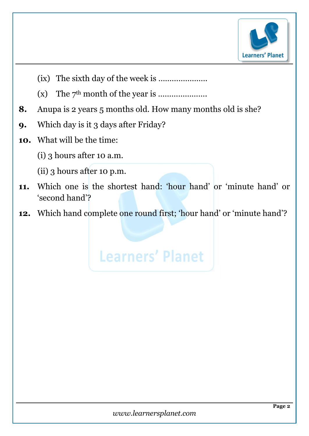

- (ix) The sixth day of the week is ………………….
- (x) The 7th month of the year is ………………….
- **8.** Anupa is 2 years 5 months old. How many months old is she?
- **9.** Which day is it 3 days after Friday?
- **10.** What will be the time:
	- (i) 3 hours after 10 a.m.
	- (ii) 3 hours after 10 p.m.
- **11.** Which one is the shortest hand: 'hour hand' or 'minute hand' or 'second hand'?
- 12. Which hand complete one round first; 'hour hand' or 'minute hand'?

**Learners' Planet**